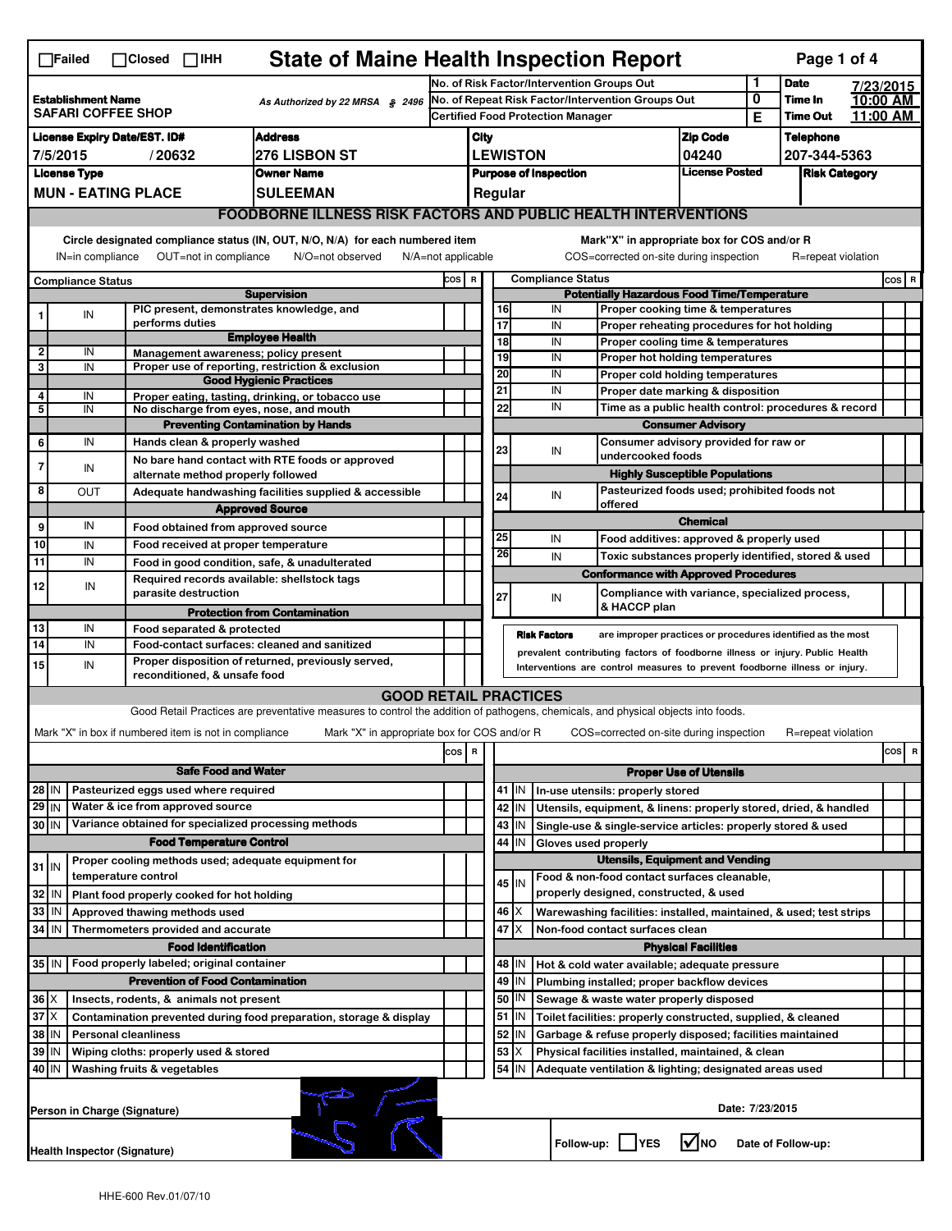| <b>State of Maine Health Inspection Report</b><br>Page 1 of 4<br>$\Box$ Failed<br>$\Box$ Closed $\Box$ IHH                                                                                                           |                                                                                   |                     |                                                       |                                                                                                                                   |  |                                                                                                   |                                                                                                                                                            |                   |                              |                                                                                                                                  |                                                                                                                           |                                       |                            |                      |                      |  |
|----------------------------------------------------------------------------------------------------------------------------------------------------------------------------------------------------------------------|-----------------------------------------------------------------------------------|---------------------|-------------------------------------------------------|-----------------------------------------------------------------------------------------------------------------------------------|--|---------------------------------------------------------------------------------------------------|------------------------------------------------------------------------------------------------------------------------------------------------------------|-------------------|------------------------------|----------------------------------------------------------------------------------------------------------------------------------|---------------------------------------------------------------------------------------------------------------------------|---------------------------------------|----------------------------|----------------------|----------------------|--|
|                                                                                                                                                                                                                      |                                                                                   |                     |                                                       |                                                                                                                                   |  | No. of Risk Factor/Intervention Groups Out                                                        |                                                                                                                                                            |                   |                              |                                                                                                                                  | 1                                                                                                                         | <b>Date</b>                           |                            | 7/23/2015            |                      |  |
| <b>Establishment Name</b><br>As Authorized by 22 MRSA § 2496<br><b>SAFARI COFFEE SHOP</b>                                                                                                                            |                                                                                   |                     |                                                       |                                                                                                                                   |  | No. of Repeat Risk Factor/Intervention Groups Out<br><b>Certified Food Protection Manager</b>     |                                                                                                                                                            |                   |                              |                                                                                                                                  |                                                                                                                           | 0<br>Е                                | Time In<br><b>Time Out</b> |                      | 10:00 AM<br>11:00 AM |  |
| <b>Address</b><br><b>License Expiry Date/EST. ID#</b>                                                                                                                                                                |                                                                                   |                     |                                                       |                                                                                                                                   |  | City                                                                                              |                                                                                                                                                            |                   |                              |                                                                                                                                  |                                                                                                                           | <b>Zip Code</b>                       |                            | <b>Telephone</b>     |                      |  |
| 7/5/2015<br>276 LISBON ST<br>/20632                                                                                                                                                                                  |                                                                                   |                     |                                                       |                                                                                                                                   |  |                                                                                                   | <b>LEWISTON</b>                                                                                                                                            |                   |                              |                                                                                                                                  | 04240                                                                                                                     |                                       | 207-344-5363               |                      |                      |  |
| <b>License Type</b><br><b>Owner Name</b>                                                                                                                                                                             |                                                                                   |                     |                                                       |                                                                                                                                   |  |                                                                                                   |                                                                                                                                                            |                   | <b>Purpose of Inspection</b> |                                                                                                                                  |                                                                                                                           | <b>License Posted</b>                 |                            | <b>Risk Category</b> |                      |  |
| <b>MUN - EATING PLACE</b><br><b>SULEEMAN</b>                                                                                                                                                                         |                                                                                   |                     |                                                       |                                                                                                                                   |  |                                                                                                   |                                                                                                                                                            | Regular           |                              |                                                                                                                                  |                                                                                                                           |                                       |                            |                      |                      |  |
| <b>FOODBORNE ILLNESS RISK FACTORS AND PUBLIC HEALTH INTERVENTIONS</b>                                                                                                                                                |                                                                                   |                     |                                                       |                                                                                                                                   |  |                                                                                                   |                                                                                                                                                            |                   |                              |                                                                                                                                  |                                                                                                                           |                                       |                            |                      |                      |  |
| Mark"X" in appropriate box for COS and/or R                                                                                                                                                                          |                                                                                   |                     |                                                       |                                                                                                                                   |  |                                                                                                   |                                                                                                                                                            |                   |                              |                                                                                                                                  |                                                                                                                           |                                       |                            |                      |                      |  |
| Circle designated compliance status (IN, OUT, N/O, N/A) for each numbered item<br>OUT=not in compliance<br>COS=corrected on-site during inspection<br>IN=in compliance<br>N/O=not observed<br>$N/A = not$ applicable |                                                                                   |                     |                                                       |                                                                                                                                   |  |                                                                                                   |                                                                                                                                                            |                   |                              | R=repeat violation                                                                                                               |                                                                                                                           |                                       |                            |                      |                      |  |
|                                                                                                                                                                                                                      |                                                                                   |                     |                                                       |                                                                                                                                   |  | COS R<br><b>Compliance Status</b>                                                                 |                                                                                                                                                            |                   |                              |                                                                                                                                  |                                                                                                                           |                                       |                            |                      | $cos$ R              |  |
| <b>Compliance Status</b><br><b>Supervision</b>                                                                                                                                                                       |                                                                                   |                     |                                                       |                                                                                                                                   |  |                                                                                                   | <b>Potentially Hazardous Food Time/Temperature</b>                                                                                                         |                   |                              |                                                                                                                                  |                                                                                                                           |                                       |                            |                      |                      |  |
|                                                                                                                                                                                                                      | IN                                                                                |                     | performs duties                                       | PIC present, demonstrates knowledge, and                                                                                          |  |                                                                                                   |                                                                                                                                                            | 16<br>17          | IN                           |                                                                                                                                  | Proper cooking time & temperatures                                                                                        |                                       |                            |                      |                      |  |
|                                                                                                                                                                                                                      |                                                                                   |                     |                                                       | <b>Employee Health</b>                                                                                                            |  |                                                                                                   |                                                                                                                                                            | 18                | IN<br>IN                     |                                                                                                                                  | Proper reheating procedures for hot holding<br>Proper cooling time & temperatures                                         |                                       |                            |                      |                      |  |
| $\mathbf{2}$                                                                                                                                                                                                         | IN                                                                                |                     | Management awareness; policy present                  |                                                                                                                                   |  |                                                                                                   |                                                                                                                                                            | 19                | IN                           |                                                                                                                                  | Proper hot holding temperatures                                                                                           |                                       |                            |                      |                      |  |
| 3                                                                                                                                                                                                                    | IN                                                                                |                     |                                                       | Proper use of reporting, restriction & exclusion<br><b>Good Hygienic Practices</b>                                                |  |                                                                                                   |                                                                                                                                                            | 20                | IN                           |                                                                                                                                  | Proper cold holding temperatures                                                                                          |                                       |                            |                      |                      |  |
| 4                                                                                                                                                                                                                    | IN                                                                                |                     |                                                       | Proper eating, tasting, drinking, or tobacco use                                                                                  |  |                                                                                                   |                                                                                                                                                            | 21                | IN                           |                                                                                                                                  | Proper date marking & disposition                                                                                         |                                       |                            |                      |                      |  |
| 5                                                                                                                                                                                                                    | IN                                                                                |                     |                                                       | No discharge from eyes, nose, and mouth                                                                                           |  |                                                                                                   |                                                                                                                                                            | 22                | IN                           |                                                                                                                                  | Time as a public health control: procedures & record                                                                      |                                       |                            |                      |                      |  |
|                                                                                                                                                                                                                      |                                                                                   |                     |                                                       | <b>Preventing Contamination by Hands</b>                                                                                          |  |                                                                                                   |                                                                                                                                                            |                   |                              |                                                                                                                                  |                                                                                                                           | <b>Consumer Advisory</b>              |                            |                      |                      |  |
| 6                                                                                                                                                                                                                    | IN                                                                                |                     | Hands clean & properly washed                         |                                                                                                                                   |  |                                                                                                   |                                                                                                                                                            | 23                | IN                           |                                                                                                                                  | Consumer advisory provided for raw or<br>undercooked foods                                                                |                                       |                            |                      |                      |  |
| 7                                                                                                                                                                                                                    | IN                                                                                |                     | alternate method properly followed                    | No bare hand contact with RTE foods or approved                                                                                   |  |                                                                                                   |                                                                                                                                                            |                   |                              |                                                                                                                                  |                                                                                                                           | <b>Highly Susceptible Populations</b> |                            |                      |                      |  |
| 8                                                                                                                                                                                                                    | OUT                                                                               |                     |                                                       | Adequate handwashing facilities supplied & accessible                                                                             |  |                                                                                                   |                                                                                                                                                            | 24                | IN                           |                                                                                                                                  | Pasteurized foods used; prohibited foods not                                                                              |                                       |                            |                      |                      |  |
|                                                                                                                                                                                                                      |                                                                                   |                     |                                                       | <b>Approved Source</b>                                                                                                            |  |                                                                                                   |                                                                                                                                                            |                   |                              |                                                                                                                                  | offered                                                                                                                   |                                       |                            |                      |                      |  |
| 9                                                                                                                                                                                                                    | IN                                                                                |                     | Food obtained from approved source                    |                                                                                                                                   |  |                                                                                                   |                                                                                                                                                            |                   |                              |                                                                                                                                  |                                                                                                                           | <b>Chemical</b>                       |                            |                      |                      |  |
| 10                                                                                                                                                                                                                   | IN                                                                                |                     | Food received at proper temperature                   |                                                                                                                                   |  |                                                                                                   |                                                                                                                                                            | 25                | IN                           |                                                                                                                                  | Food additives: approved & properly used                                                                                  |                                       |                            |                      |                      |  |
| 11                                                                                                                                                                                                                   | IN                                                                                |                     |                                                       | Food in good condition, safe, & unadulterated                                                                                     |  |                                                                                                   |                                                                                                                                                            | 26                | IN                           |                                                                                                                                  | Toxic substances properly identified, stored & used                                                                       |                                       |                            |                      |                      |  |
| 12                                                                                                                                                                                                                   | IN                                                                                |                     |                                                       | Required records available: shellstock tags                                                                                       |  |                                                                                                   |                                                                                                                                                            |                   |                              |                                                                                                                                  | <b>Conformance with Approved Procedures</b>                                                                               |                                       |                            |                      |                      |  |
|                                                                                                                                                                                                                      |                                                                                   |                     | parasite destruction                                  |                                                                                                                                   |  |                                                                                                   |                                                                                                                                                            | 27                | IN                           |                                                                                                                                  | Compliance with variance, specialized process,<br>& HACCP plan                                                            |                                       |                            |                      |                      |  |
| 13                                                                                                                                                                                                                   | IN                                                                                |                     | Food separated & protected                            | <b>Protection from Contamination</b>                                                                                              |  |                                                                                                   |                                                                                                                                                            |                   |                              |                                                                                                                                  |                                                                                                                           |                                       |                            |                      |                      |  |
| 14                                                                                                                                                                                                                   | IN                                                                                |                     |                                                       | Food-contact surfaces: cleaned and sanitized                                                                                      |  |                                                                                                   |                                                                                                                                                            |                   | <b>Risk Factors</b>          |                                                                                                                                  | are improper practices or procedures identified as the most                                                               |                                       |                            |                      |                      |  |
| 15                                                                                                                                                                                                                   | IN                                                                                |                     |                                                       | Proper disposition of returned, previously served,                                                                                |  |                                                                                                   | prevalent contributing factors of foodborne illness or injury. Public Health<br>Interventions are control measures to prevent foodborne illness or injury. |                   |                              |                                                                                                                                  |                                                                                                                           |                                       |                            |                      |                      |  |
|                                                                                                                                                                                                                      |                                                                                   |                     | reconditioned, & unsafe food                          |                                                                                                                                   |  |                                                                                                   |                                                                                                                                                            |                   |                              |                                                                                                                                  |                                                                                                                           |                                       |                            |                      |                      |  |
|                                                                                                                                                                                                                      |                                                                                   |                     |                                                       | <b>GOOD RETAIL PRACTICES</b>                                                                                                      |  |                                                                                                   |                                                                                                                                                            |                   |                              |                                                                                                                                  |                                                                                                                           |                                       |                            |                      |                      |  |
|                                                                                                                                                                                                                      |                                                                                   |                     |                                                       | Good Retail Practices are preventative measures to control the addition of pathogens, chemicals, and physical objects into foods. |  |                                                                                                   |                                                                                                                                                            |                   |                              |                                                                                                                                  |                                                                                                                           |                                       |                            |                      |                      |  |
|                                                                                                                                                                                                                      |                                                                                   |                     | Mark "X" in box if numbered item is not in compliance | Mark "X" in appropriate box for COS and/or R                                                                                      |  |                                                                                                   |                                                                                                                                                            |                   |                              |                                                                                                                                  | COS=corrected on-site during inspection                                                                                   |                                       |                            | R=repeat violation   |                      |  |
| cosl<br>COS R                                                                                                                                                                                                        |                                                                                   |                     |                                                       |                                                                                                                                   |  |                                                                                                   |                                                                                                                                                            | R                 |                              |                                                                                                                                  |                                                                                                                           |                                       |                            |                      |                      |  |
|                                                                                                                                                                                                                      | <b>Safe Food and Water</b>                                                        |                     |                                                       |                                                                                                                                   |  |                                                                                                   |                                                                                                                                                            |                   |                              |                                                                                                                                  |                                                                                                                           | <b>Proper Use of Utensils</b>         |                            |                      |                      |  |
| 28 IN                                                                                                                                                                                                                |                                                                                   |                     | Pasteurized eggs used where required                  |                                                                                                                                   |  |                                                                                                   |                                                                                                                                                            | 41   IN           |                              |                                                                                                                                  | In-use utensils: properly stored                                                                                          |                                       |                            |                      |                      |  |
| $29$ IN<br>Water & ice from approved source<br>Variance obtained for specialized processing methods<br>30 IN                                                                                                         |                                                                                   |                     |                                                       |                                                                                                                                   |  |                                                                                                   | 42<br>IN<br>43<br>IN                                                                                                                                       |                   |                              | Utensils, equipment, & linens: properly stored, dried, & handled<br>Single-use & single-service articles: properly stored & used |                                                                                                                           |                                       |                            |                      |                      |  |
|                                                                                                                                                                                                                      |                                                                                   |                     | <b>Food Temperature Control</b>                       |                                                                                                                                   |  |                                                                                                   |                                                                                                                                                            | 44<br>IN          |                              |                                                                                                                                  | Gloves used properly                                                                                                      |                                       |                            |                      |                      |  |
|                                                                                                                                                                                                                      |                                                                                   |                     |                                                       | Proper cooling methods used; adequate equipment for                                                                               |  |                                                                                                   | <b>Utensils, Equipment and Vending</b>                                                                                                                     |                   |                              |                                                                                                                                  |                                                                                                                           |                                       |                            |                      |                      |  |
| $31$ IN                                                                                                                                                                                                              |                                                                                   | temperature control |                                                       |                                                                                                                                   |  |                                                                                                   |                                                                                                                                                            | 45 I IN           |                              |                                                                                                                                  | Food & non-food contact surfaces cleanable,                                                                               |                                       |                            |                      |                      |  |
| 32                                                                                                                                                                                                                   | IN                                                                                |                     | Plant food properly cooked for hot holding            |                                                                                                                                   |  |                                                                                                   |                                                                                                                                                            |                   |                              |                                                                                                                                  | properly designed, constructed, & used                                                                                    |                                       |                            |                      |                      |  |
| 33                                                                                                                                                                                                                   | IN                                                                                |                     | Approved thawing methods used                         |                                                                                                                                   |  |                                                                                                   |                                                                                                                                                            | 46<br>X           |                              |                                                                                                                                  | Warewashing facilities: installed, maintained, & used; test strips                                                        |                                       |                            |                      |                      |  |
| 34 IN                                                                                                                                                                                                                |                                                                                   |                     | Thermometers provided and accurate                    |                                                                                                                                   |  |                                                                                                   |                                                                                                                                                            | 47                |                              |                                                                                                                                  | Non-food contact surfaces clean                                                                                           |                                       |                            |                      |                      |  |
| <b>Food Identification</b><br><b>Physical Facilities</b>                                                                                                                                                             |                                                                                   |                     |                                                       |                                                                                                                                   |  |                                                                                                   |                                                                                                                                                            |                   |                              |                                                                                                                                  |                                                                                                                           |                                       |                            |                      |                      |  |
|                                                                                                                                                                                                                      | 35   IN<br>Food properly labeled; original container                              |                     |                                                       |                                                                                                                                   |  |                                                                                                   |                                                                                                                                                            | 48   IN           |                              |                                                                                                                                  | Hot & cold water available; adequate pressure                                                                             |                                       |                            |                      |                      |  |
| <b>Prevention of Food Contamination</b>                                                                                                                                                                              |                                                                                   |                     |                                                       |                                                                                                                                   |  | 49<br>IN<br>Plumbing installed; proper backflow devices<br>Sewage & waste water properly disposed |                                                                                                                                                            |                   |                              |                                                                                                                                  |                                                                                                                           |                                       |                            |                      |                      |  |
| $36$ $\times$<br>Insects, rodents, & animals not present                                                                                                                                                             |                                                                                   |                     |                                                       |                                                                                                                                   |  |                                                                                                   |                                                                                                                                                            | 50   IN<br>$51$ M |                              |                                                                                                                                  |                                                                                                                           |                                       |                            |                      |                      |  |
| $37$ $\times$<br>Contamination prevented during food preparation, storage & display<br>38 IN<br><b>Personal cleanliness</b>                                                                                          |                                                                                   |                     |                                                       |                                                                                                                                   |  |                                                                                                   |                                                                                                                                                            | 52<br>IN          |                              |                                                                                                                                  | Toilet facilities: properly constructed, supplied, & cleaned<br>Garbage & refuse properly disposed; facilities maintained |                                       |                            |                      |                      |  |
| 39<br>ΙN<br>Wiping cloths: properly used & stored                                                                                                                                                                    |                                                                                   |                     |                                                       |                                                                                                                                   |  |                                                                                                   |                                                                                                                                                            | 53                |                              |                                                                                                                                  | Physical facilities installed, maintained, & clean                                                                        |                                       |                            |                      |                      |  |
| 40 IN<br>Washing fruits & vegetables                                                                                                                                                                                 |                                                                                   |                     |                                                       |                                                                                                                                   |  |                                                                                                   |                                                                                                                                                            | 54<br>IN          |                              |                                                                                                                                  | Adequate ventilation & lighting; designated areas used                                                                    |                                       |                            |                      |                      |  |
| Date: 7/23/2015<br>Person in Charge (Signature)                                                                                                                                                                      |                                                                                   |                     |                                                       |                                                                                                                                   |  |                                                                                                   |                                                                                                                                                            |                   |                              |                                                                                                                                  |                                                                                                                           |                                       |                            |                      |                      |  |
|                                                                                                                                                                                                                      | l√lno<br>Follow-up:     YES<br>Date of Follow-up:<br>Health Inspector (Signature) |                     |                                                       |                                                                                                                                   |  |                                                                                                   |                                                                                                                                                            |                   |                              |                                                                                                                                  |                                                                                                                           |                                       |                            |                      |                      |  |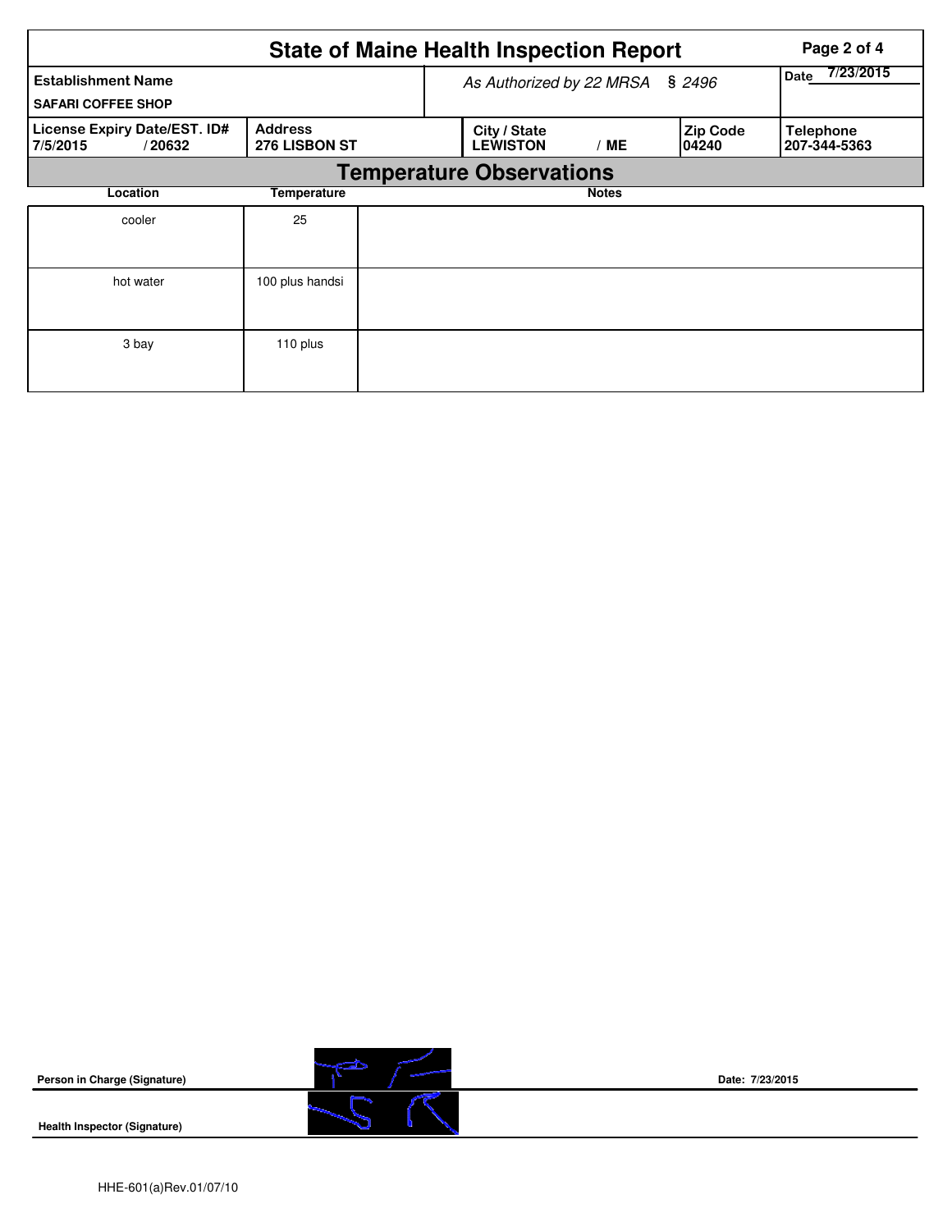|                                                        |                                 | <b>State of Maine Health Inspection Report</b> | Page 2 of 4  |                           |                                  |
|--------------------------------------------------------|---------------------------------|------------------------------------------------|--------------|---------------------------|----------------------------------|
| <b>Establishment Name</b><br><b>SAFARI COFFEE SHOP</b> | As Authorized by 22 MRSA        | 7/23/2015<br><b>Date</b>                       |              |                           |                                  |
| License Expiry Date/EST. ID#<br>7/5/2015<br>/20632     | <b>Address</b><br>276 LISBON ST | City / State<br><b>LEWISTON</b>                | / ME         | <b>Zip Code</b><br>104240 | <b>Telephone</b><br>207-344-5363 |
|                                                        |                                 | <b>Temperature Observations</b>                |              |                           |                                  |
| Location                                               | Temperature                     |                                                | <b>Notes</b> |                           |                                  |
| cooler                                                 | 25                              |                                                |              |                           |                                  |
| hot water                                              | 100 plus handsi                 |                                                |              |                           |                                  |
| 3 bay                                                  | 110 plus                        |                                                |              |                           |                                  |

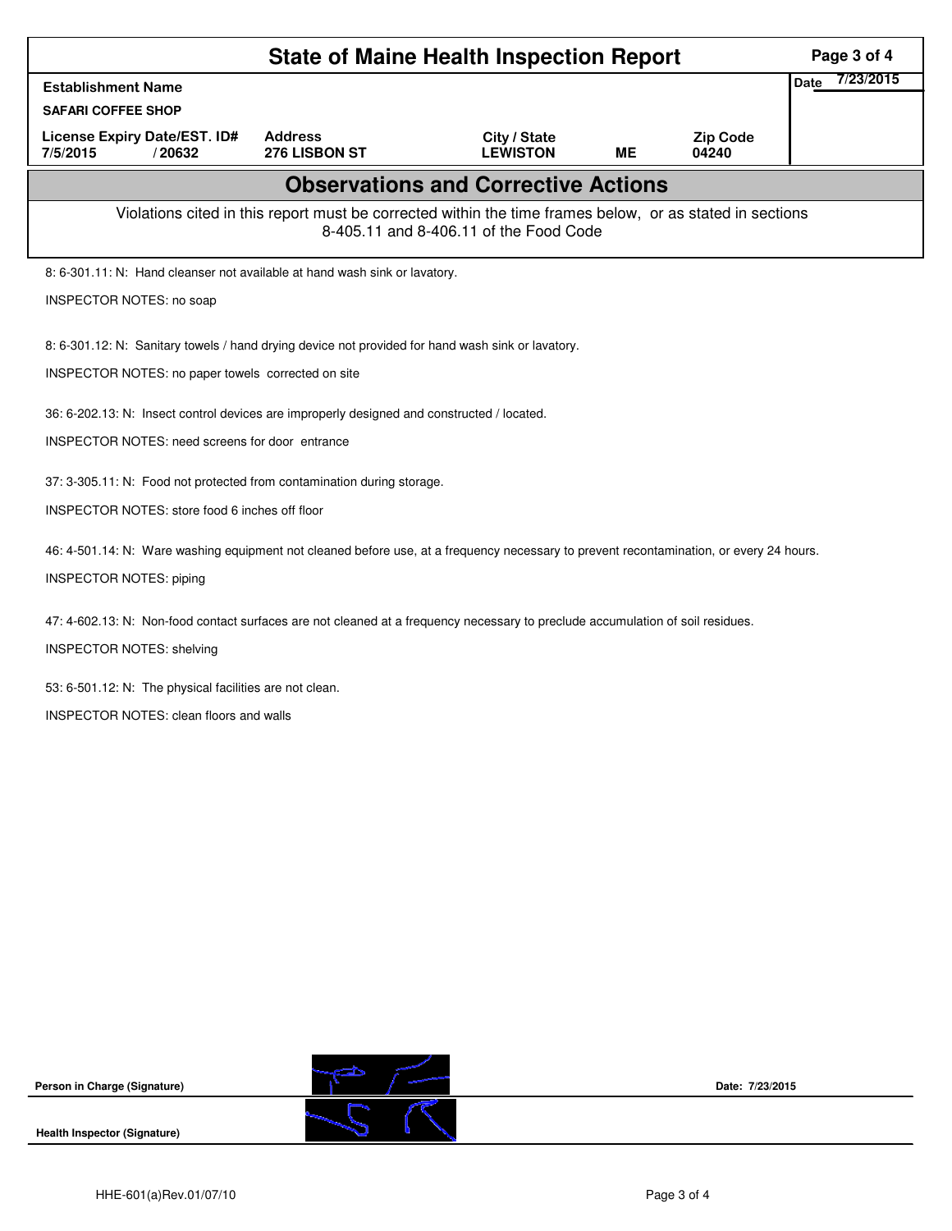| <b>State of Maine Health Inspection Report</b>                                                                                                     |                                                                                                                                         |                                 |    |                          |                          |  |  |  |  |
|----------------------------------------------------------------------------------------------------------------------------------------------------|-----------------------------------------------------------------------------------------------------------------------------------------|---------------------------------|----|--------------------------|--------------------------|--|--|--|--|
| <b>Establishment Name</b>                                                                                                                          |                                                                                                                                         |                                 |    |                          | 7/23/2015<br><b>Date</b> |  |  |  |  |
| <b>SAFARI COFFEE SHOP</b>                                                                                                                          |                                                                                                                                         |                                 |    |                          |                          |  |  |  |  |
| License Expiry Date/EST. ID#<br>7/5/2015<br>/20632                                                                                                 | <b>Address</b><br>276 LISBON ST                                                                                                         | City / State<br><b>LEWISTON</b> | MЕ | <b>Zip Code</b><br>04240 |                          |  |  |  |  |
| <b>Observations and Corrective Actions</b>                                                                                                         |                                                                                                                                         |                                 |    |                          |                          |  |  |  |  |
| Violations cited in this report must be corrected within the time frames below, or as stated in sections<br>8-405.11 and 8-406.11 of the Food Code |                                                                                                                                         |                                 |    |                          |                          |  |  |  |  |
| 8: 6-301.11: N: Hand cleanser not available at hand wash sink or lavatory.                                                                         |                                                                                                                                         |                                 |    |                          |                          |  |  |  |  |
| INSPECTOR NOTES: no soap                                                                                                                           |                                                                                                                                         |                                 |    |                          |                          |  |  |  |  |
|                                                                                                                                                    |                                                                                                                                         |                                 |    |                          |                          |  |  |  |  |
| 8: 6-301.12: N: Sanitary towels / hand drying device not provided for hand wash sink or lavatory.                                                  |                                                                                                                                         |                                 |    |                          |                          |  |  |  |  |
| INSPECTOR NOTES: no paper towels corrected on site                                                                                                 |                                                                                                                                         |                                 |    |                          |                          |  |  |  |  |
| 36: 6-202.13: N: Insect control devices are improperly designed and constructed / located.                                                         |                                                                                                                                         |                                 |    |                          |                          |  |  |  |  |
| <b>INSPECTOR NOTES: need screens for door entrance</b>                                                                                             |                                                                                                                                         |                                 |    |                          |                          |  |  |  |  |
| 37: 3-305.11: N: Food not protected from contamination during storage.                                                                             |                                                                                                                                         |                                 |    |                          |                          |  |  |  |  |
| INSPECTOR NOTES: store food 6 inches off floor                                                                                                     |                                                                                                                                         |                                 |    |                          |                          |  |  |  |  |
|                                                                                                                                                    |                                                                                                                                         |                                 |    |                          |                          |  |  |  |  |
|                                                                                                                                                    | 46: 4-501.14: N: Ware washing equipment not cleaned before use, at a frequency necessary to prevent recontamination, or every 24 hours. |                                 |    |                          |                          |  |  |  |  |
| <b>INSPECTOR NOTES: piping</b>                                                                                                                     |                                                                                                                                         |                                 |    |                          |                          |  |  |  |  |
|                                                                                                                                                    |                                                                                                                                         |                                 |    |                          |                          |  |  |  |  |
| 47: 4-602.13: N: Non-food contact surfaces are not cleaned at a frequency necessary to preclude accumulation of soil residues.                     |                                                                                                                                         |                                 |    |                          |                          |  |  |  |  |
| <b>INSPECTOR NOTES: shelving</b>                                                                                                                   |                                                                                                                                         |                                 |    |                          |                          |  |  |  |  |
| 53: 6-501.12: N: The physical facilities are not clean.                                                                                            |                                                                                                                                         |                                 |    |                          |                          |  |  |  |  |
| <b>INSPECTOR NOTES: clean floors and walls</b>                                                                                                     |                                                                                                                                         |                                 |    |                          |                          |  |  |  |  |
|                                                                                                                                                    |                                                                                                                                         |                                 |    |                          |                          |  |  |  |  |
|                                                                                                                                                    |                                                                                                                                         |                                 |    |                          |                          |  |  |  |  |



**Date: 7/23/2015**